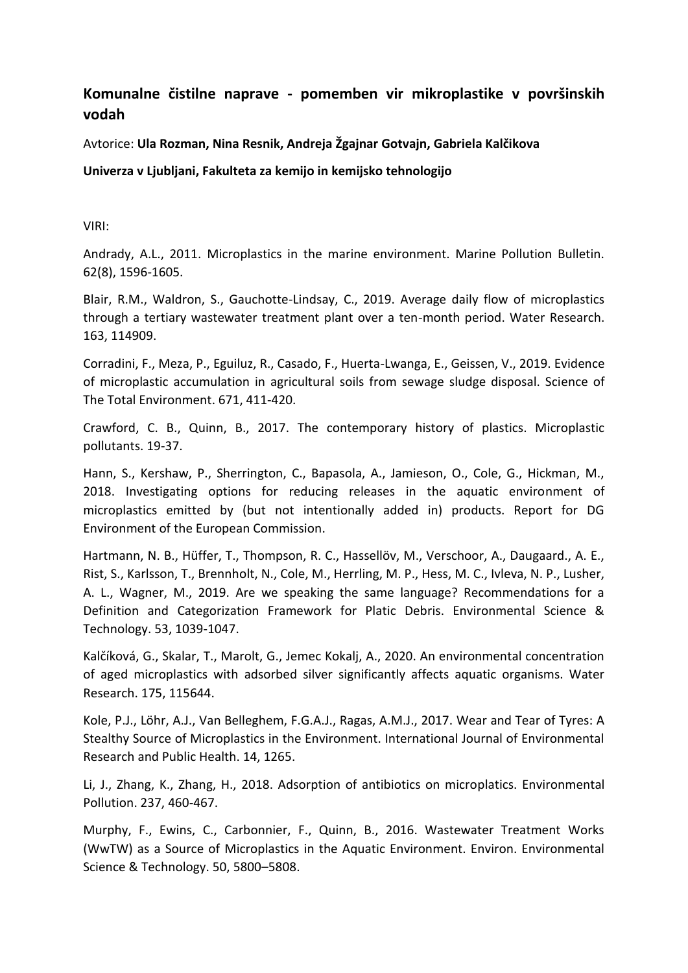## **Komunalne čistilne naprave - pomemben vir mikroplastike v površinskih vodah**

Avtorice: **Ula Rozman, Nina Resnik, Andreja Žgajnar Gotvajn, Gabriela Kalčikova**

## **Univerza v Ljubljani, Fakulteta za kemijo in kemijsko tehnologijo**

VIRI:

Andrady, A.L., 2011. Microplastics in the marine environment. Marine Pollution Bulletin. 62(8), 1596-1605.

Blair, R.M., Waldron, S., Gauchotte-Lindsay, C., 2019. Average daily flow of microplastics through a tertiary wastewater treatment plant over a ten-month period. Water Research. 163, 114909.

Corradini, F., Meza, P., Eguiluz, R., Casado, F., Huerta-Lwanga, E., Geissen, V., 2019. Evidence of microplastic accumulation in agricultural soils from sewage sludge disposal. Science of The Total Environment. 671, 411-420.

Crawford, C. B., Quinn, B., 2017. The contemporary history of plastics. Microplastic pollutants. 19-37.

Hann, S., Kershaw, P., Sherrington, C., Bapasola, A., Jamieson, O., Cole, G., Hickman, M., 2018. Investigating options for reducing releases in the aquatic environment of microplastics emitted by (but not intentionally added in) products. Report for DG Environment of the European Commission.

Hartmann, N. B., Hüffer, T., Thompson, R. C., Hassellöv, M., Verschoor, A., Daugaard., A. E., Rist, S., Karlsson, T., Brennholt, N., Cole, M., Herrling, M. P., Hess, M. C., Ivleva, N. P., Lusher, A. L., Wagner, M., 2019. Are we speaking the same language? Recommendations for a Definition and Categorization Framework for Platic Debris. Environmental Science & Technology. 53, 1039-1047.

Kalčíková, G., Skalar, T., Marolt, G., Jemec Kokalj, A., 2020. An environmental concentration of aged microplastics with adsorbed silver significantly affects aquatic organisms. Water Research. 175, 115644.

Kole, P.J., Löhr, A.J., Van Belleghem, F.G.A.J., Ragas, A.M.J., 2017. Wear and Tear of Tyres: A Stealthy Source of Microplastics in the Environment. International Journal of Environmental Research and Public Health. 14, 1265.

Li, J., Zhang, K., Zhang, H., 2018. Adsorption of antibiotics on microplatics. Environmental Pollution. 237, 460-467.

Murphy, F., Ewins, C., Carbonnier, F., Quinn, B., 2016. Wastewater Treatment Works (WwTW) as a Source of Microplastics in the Aquatic Environment. Environ. Environmental Science & Technology. 50, 5800–5808.